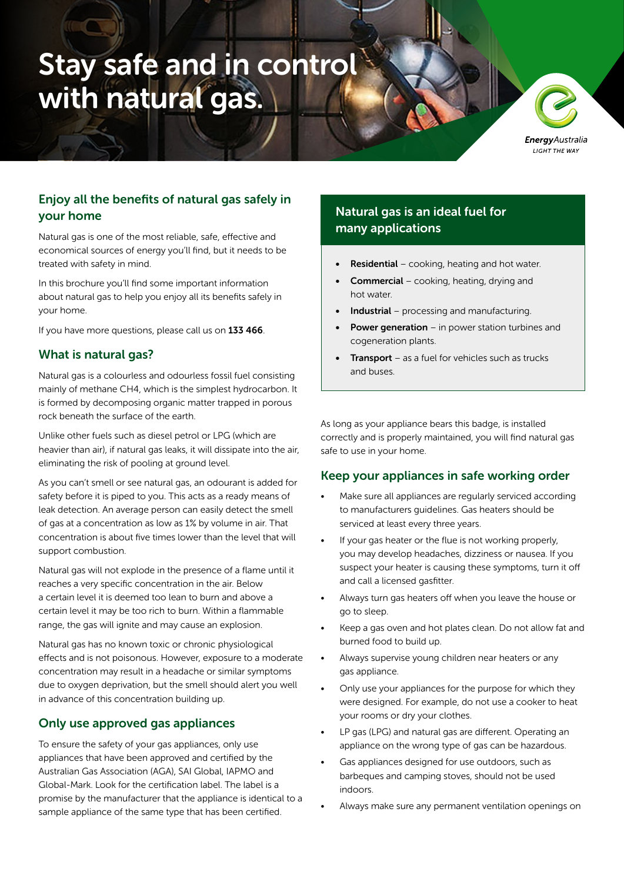# Stay safe and in control with natural gas.

**Energy** Australia LIGHT THE WAY

## Enjoy all the benefits of natural gas safely in your home

Natural gas is one of the most reliable, safe, effective and economical sources of energy you'll find, but it needs to be treated with safety in mind.

In this brochure you'll find some important information about natural gas to help you enjoy all its benefits safely in your home.

If you have more questions, please call us on 133 466.

#### What is natural gas?

Natural gas is a colourless and odourless fossil fuel consisting mainly of methane CH4, which is the simplest hydrocarbon. It is formed by decomposing organic matter trapped in porous rock beneath the surface of the earth.

Unlike other fuels such as diesel petrol or LPG (which are heavier than air), if natural gas leaks, it will dissipate into the air, eliminating the risk of pooling at ground level.

As you can't smell or see natural gas, an odourant is added for safety before it is piped to you. This acts as a ready means of leak detection. An average person can easily detect the smell of gas at a concentration as low as 1% by volume in air. That concentration is about five times lower than the level that will support combustion.

Natural gas will not explode in the presence of a flame until it reaches a very specific concentration in the air. Below a certain level it is deemed too lean to burn and above a certain level it may be too rich to burn. Within a flammable range, the gas will ignite and may cause an explosion.

Natural gas has no known toxic or chronic physiological effects and is not poisonous. However, exposure to a moderate concentration may result in a headache or similar symptoms due to oxygen deprivation, but the smell should alert you well in advance of this concentration building up.

### Only use approved gas appliances

To ensure the safety of your gas appliances, only use appliances that have been approved and certified by the Australian Gas Association (AGA), SAI Global, IAPMO and Global-Mark. Look for the certification label. The label is a promise by the manufacturer that the appliance is identical to a sample appliance of the same type that has been certified.

## Natural gas is an ideal fuel for many applications

- **Residential** cooking, heating and hot water.
- Commercial cooking, heating, drying and hot water.
- **Industrial** processing and manufacturing.
- **Power generation** in power station turbines and cogeneration plants.
- **Transport** as a fuel for vehicles such as trucks and buses.

As long as your appliance bears this badge, is installed correctly and is properly maintained, you will find natural gas safe to use in your home.

#### Keep your appliances in safe working order

- Make sure all appliances are regularly serviced according to manufacturers guidelines. Gas heaters should be serviced at least every three years.
- If your gas heater or the flue is not working properly, you may develop headaches, dizziness or nausea. If you suspect your heater is causing these symptoms, turn it off and call a licensed gasfitter.
- Always turn gas heaters off when you leave the house or go to sleep.
- Keep a gas oven and hot plates clean. Do not allow fat and burned food to build up.
- Always supervise young children near heaters or any gas appliance.
- Only use your appliances for the purpose for which they were designed. For example, do not use a cooker to heat your rooms or dry your clothes.
- LP gas (LPG) and natural gas are different. Operating an appliance on the wrong type of gas can be hazardous.
- Gas appliances designed for use outdoors, such as barbeques and camping stoves, should not be used indoors.
- Always make sure any permanent ventilation openings on